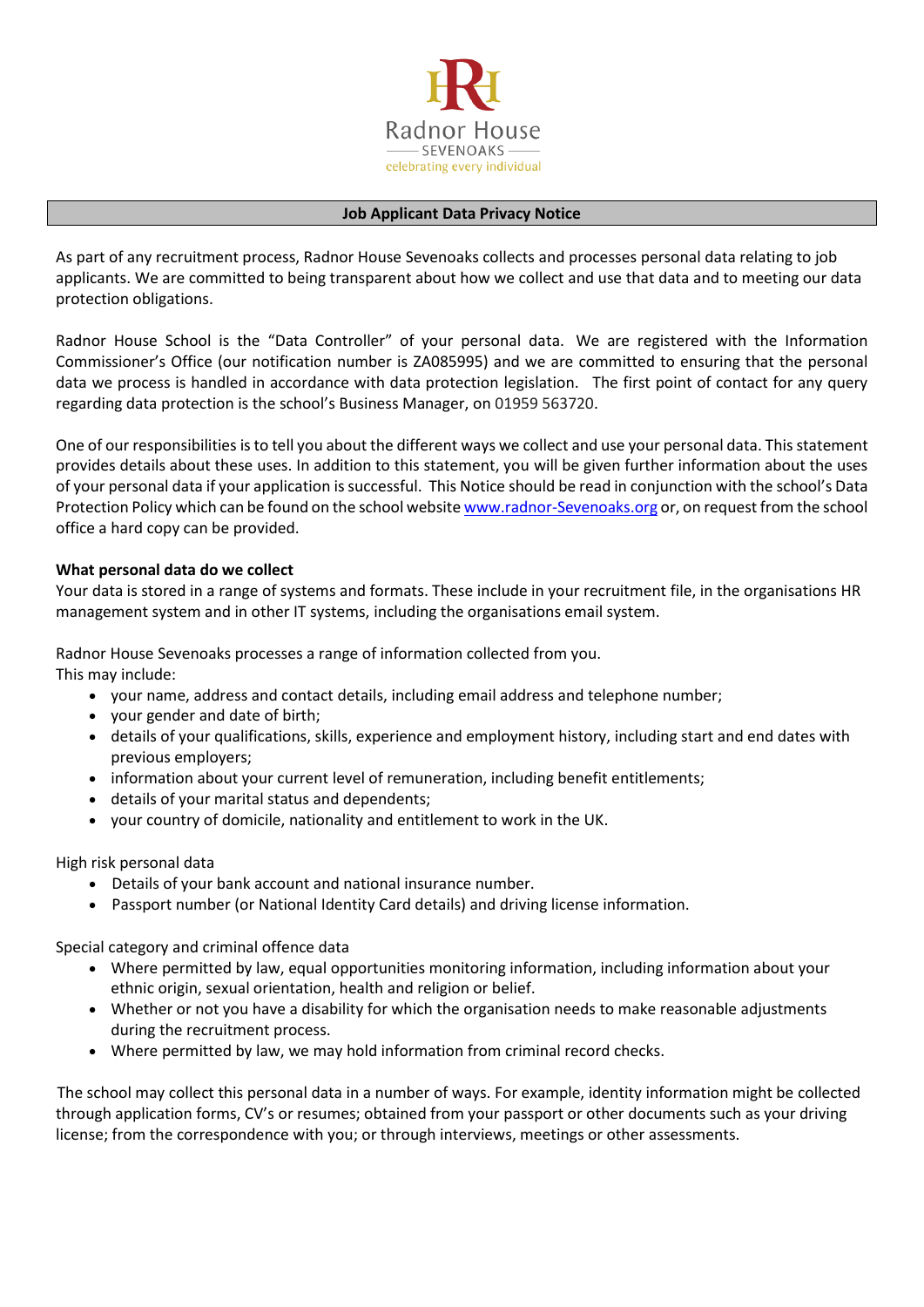

### **Job Applicant Data Privacy Notice**

As part of any recruitment process, Radnor House Sevenoaks collects and processes personal data relating to job applicants. We are committed to being transparent about how we collect and use that data and to meeting our data protection obligations.

Radnor House School is the "Data Controller" of your personal data. We are registered with the Information Commissioner's Office (our notification number is ZA085995) and we are committed to ensuring that the personal data we process is handled in accordance with data protection legislation.The first point of contact for any query regarding data protection is the school's Business Manager, on 01959 563720.

One of our responsibilities is to tell you about the different ways we collect and use your personal data. This statement provides details about these uses. In addition to this statement, you will be given further information about the uses of your personal data if your application is successful. This Notice should be read in conjunction with the school's Data Protection Policy which can be found on the school websit[e www.radnor-Sevenoaks.org](http://www.radnor-twickenham.org/) or, on request from the school office a hard copy can be provided.

### **What personal data do we collect**

Your data is stored in a range of systems and formats. These include in your recruitment file, in the organisations HR management system and in other IT systems, including the organisations email system.

Radnor House Sevenoaks processes a range of information collected from you.

This may include:

- your name, address and contact details, including email address and telephone number;
- your gender and date of birth;
- details of your qualifications, skills, experience and employment history, including start and end dates with previous employers;
- information about your current level of remuneration, including benefit entitlements;
- details of your marital status and dependents;
- your country of domicile, nationality and entitlement to work in the UK.

High risk personal data

- Details of your bank account and national insurance number.
- Passport number (or National Identity Card details) and driving license information.

Special category and criminal offence data

- Where permitted by law, equal opportunities monitoring information, including information about your ethnic origin, sexual orientation, health and religion or belief.
- Whether or not you have a disability for which the organisation needs to make reasonable adjustments during the recruitment process.
- Where permitted by law, we may hold information from criminal record checks.

 The school may collect this personal data in a number of ways. For example, identity information might be collected through application forms, CV's or resumes; obtained from your passport or other documents such as your driving license; from the correspondence with you; or through interviews, meetings or other assessments.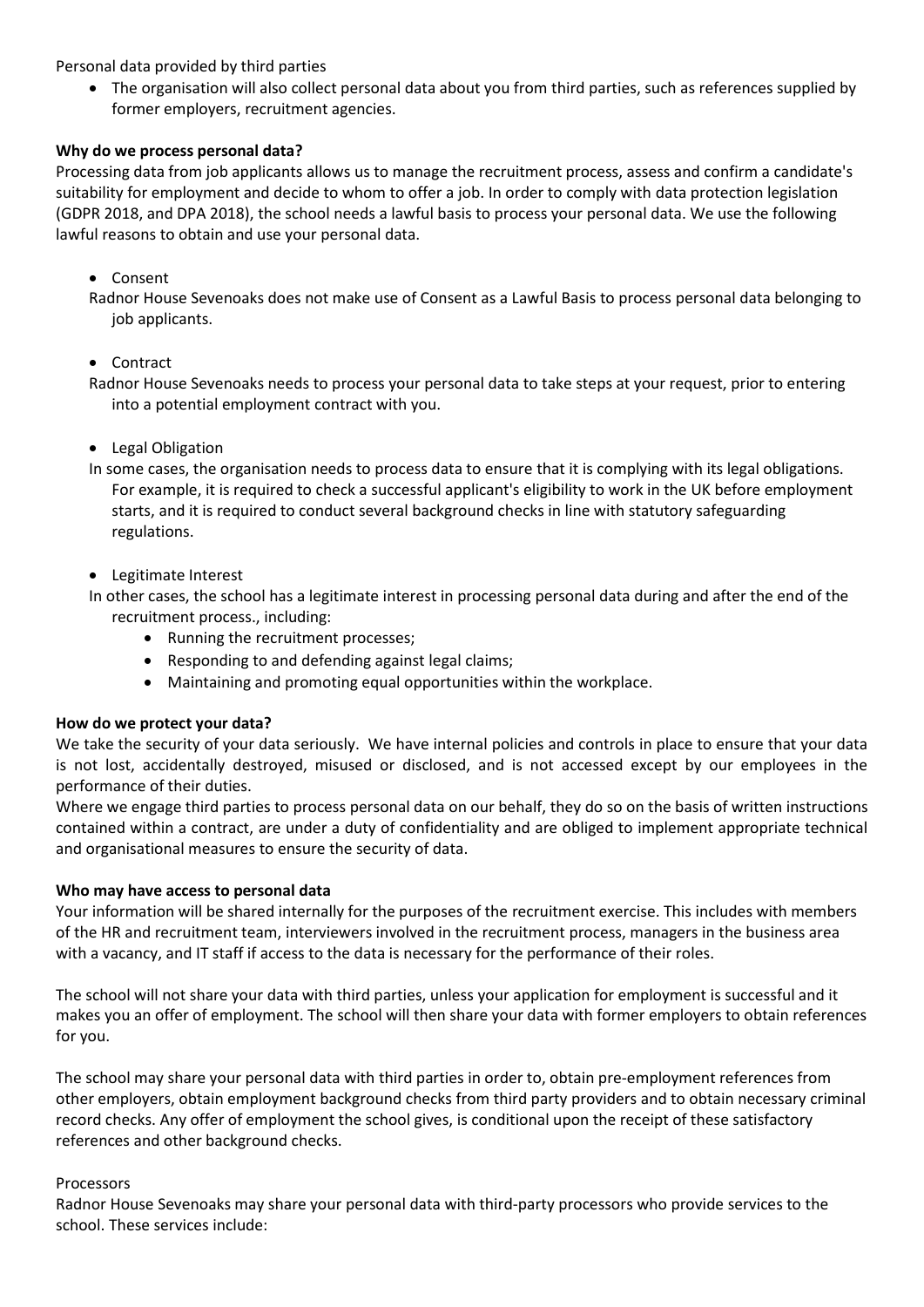Personal data provided by third parties

 The organisation will also collect personal data about you from third parties, such as references supplied by former employers, recruitment agencies.

# **Why do we process personal data?**

Processing data from job applicants allows us to manage the recruitment process, assess and confirm a candidate's suitability for employment and decide to whom to offer a job. In order to comply with data protection legislation (GDPR 2018, and DPA 2018), the school needs a lawful basis to process your personal data. We use the following lawful reasons to obtain and use your personal data.

# Consent

Radnor House Sevenoaks does not make use of Consent as a Lawful Basis to process personal data belonging to job applicants.

Contract

Radnor House Sevenoaks needs to process your personal data to take steps at your request, prior to entering into a potential employment contract with you.

Legal Obligation

In some cases, the organisation needs to process data to ensure that it is complying with its legal obligations. For example, it is required to check a successful applicant's eligibility to work in the UK before employment starts, and it is required to conduct several background checks in line with statutory safeguarding regulations.

Legitimate Interest

In other cases, the school has a legitimate interest in processing personal data during and after the end of the recruitment process., including:

- Running the recruitment processes;
- Responding to and defending against legal claims;
- Maintaining and promoting equal opportunities within the workplace.

# **How do we protect your data?**

We take the security of your data seriously. We have internal policies and controls in place to ensure that your data is not lost, accidentally destroyed, misused or disclosed, and is not accessed except by our employees in the performance of their duties.

Where we engage third parties to process personal data on our behalf, they do so on the basis of written instructions contained within a contract, are under a duty of confidentiality and are obliged to implement appropriate technical and organisational measures to ensure the security of data.

# **Who may have access to personal data**

Your information will be shared internally for the purposes of the recruitment exercise. This includes with members of the HR and recruitment team, interviewers involved in the recruitment process, managers in the business area with a vacancy, and IT staff if access to the data is necessary for the performance of their roles.

The school will not share your data with third parties, unless your application for employment is successful and it makes you an offer of employment. The school will then share your data with former employers to obtain references for you.

The school may share your personal data with third parties in order to, obtain pre-employment references from other employers, obtain employment background checks from third party providers and to obtain necessary criminal record checks. Any offer of employment the school gives, is conditional upon the receipt of these satisfactory references and other background checks.

### Processors

Radnor House Sevenoaks may share your personal data with third-party processors who provide services to the school. These services include: